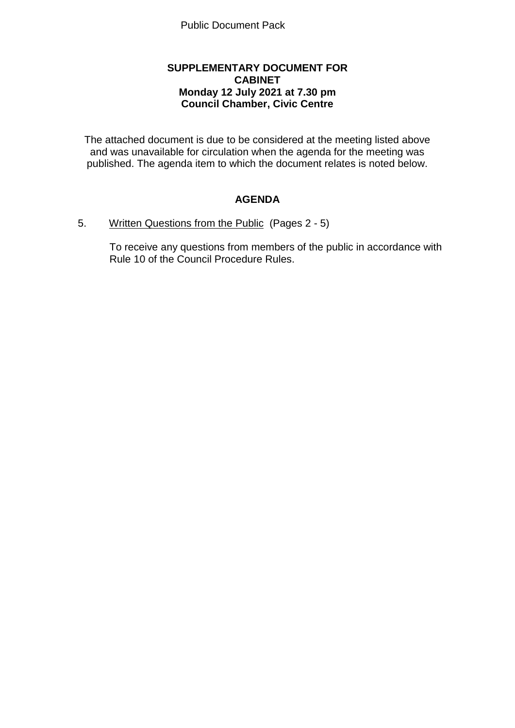### **SUPPLEMENTARY DOCUMENT FOR CABINET Monday 12 July 2021 at 7.30 pm Council Chamber, Civic Centre**

The attached document is due to be considered at the meeting listed above and was unavailable for circulation when the agenda for the meeting was published. The agenda item to which the document relates is noted below.

# **AGENDA**

#### 5. Written Questions from the Public (Pages 2 - 5)

To receive any questions from members of the public in accordance with Rule 10 of the Council Procedure Rules.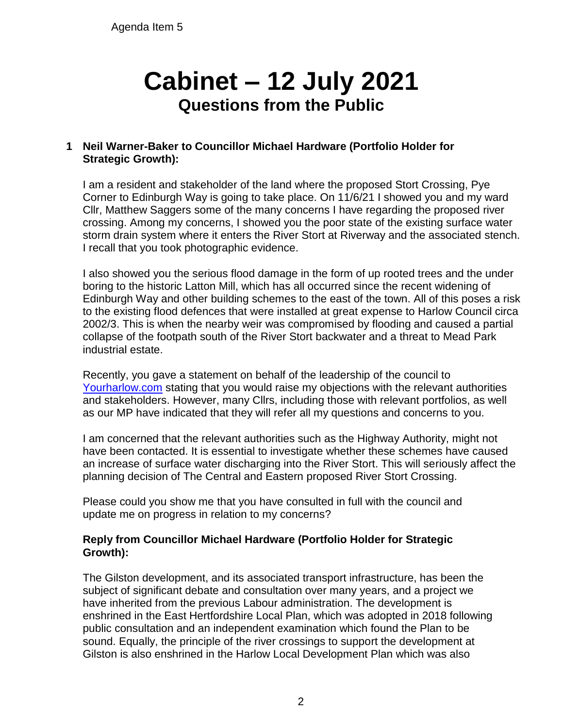Agenda Item 5

# **Cabinet – 12 July 2021 Questions from the Public**

# **1 Neil Warner-Baker to Councillor Michael Hardware (Portfolio Holder for Strategic Growth):**

I am a resident and stakeholder of the land where the proposed Stort Crossing, Pye Corner to Edinburgh Way is going to take place. On 11/6/21 I showed you and my ward Cllr, Matthew Saggers some of the many concerns I have regarding the proposed river crossing. Among my concerns, I showed you the poor state of the existing surface water storm drain system where it enters the River Stort at Riverway and the associated stench. I recall that you took photographic evidence.

I also showed you the serious flood damage in the form of up rooted trees and the under boring to the historic Latton Mill, which has all occurred since the recent widening of Edinburgh Way and other building schemes to the east of the town. All of this poses a risk to the existing flood defences that were installed at great expense to Harlow Council circa 2002/3. This is when the nearby weir was compromised by flooding and caused a partial collapse of the footpath south of the River Stort backwater and a threat to Mead Park industrial estate.

Recently, you gave a statement on behalf of the leadership of the council to [Yourharlow.com](http://yourharlow.com/) stating that you would raise my objections with the relevant authorities and stakeholders. However, many Cllrs, including those with relevant portfolios, as well as our MP have indicated that they will refer all my questions and concerns to you.

I am concerned that the relevant authorities such as the Highway Authority, might not have been contacted. It is essential to investigate whether these schemes have caused an increase of surface water discharging into the River Stort. This will seriously affect the planning decision of The Central and Eastern proposed River Stort Crossing.

Please could you show me that you have consulted in full with the council and update me on progress in relation to my concerns?

### **Reply from Councillor Michael Hardware (Portfolio Holder for Strategic Growth):**

The Gilston development, and its associated transport infrastructure, has been the subject of significant debate and consultation over many years, and a project we have inherited from the previous Labour administration. The development is enshrined in the East Hertfordshire Local Plan, which was adopted in 2018 following public consultation and an independent examination which found the Plan to be sound. Equally, the principle of the river crossings to support the development at Gilston is also enshrined in the Harlow Local Development Plan which was also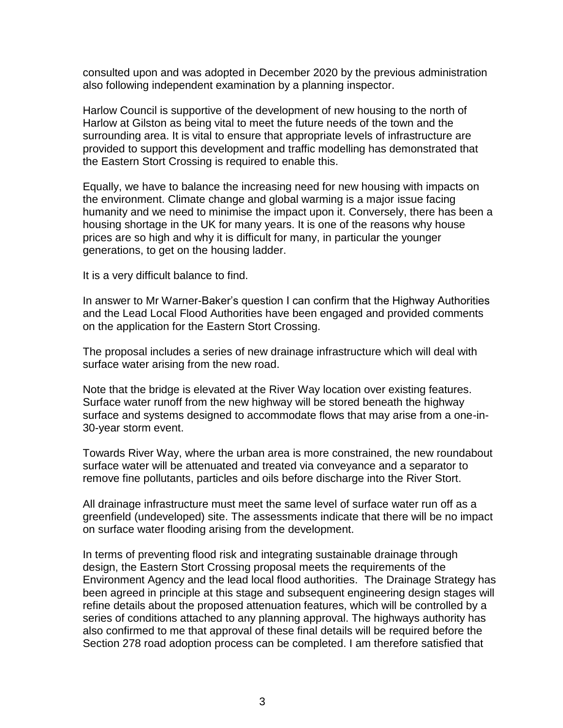consulted upon and was adopted in December 2020 by the previous administration also following independent examination by a planning inspector.

Harlow Council is supportive of the development of new housing to the north of Harlow at Gilston as being vital to meet the future needs of the town and the surrounding area. It is vital to ensure that appropriate levels of infrastructure are provided to support this development and traffic modelling has demonstrated that the Eastern Stort Crossing is required to enable this.

Equally, we have to balance the increasing need for new housing with impacts on the environment. Climate change and global warming is a major issue facing humanity and we need to minimise the impact upon it. Conversely, there has been a housing shortage in the UK for many years. It is one of the reasons why house prices are so high and why it is difficult for many, in particular the younger generations, to get on the housing ladder.

It is a very difficult balance to find.

In answer to Mr Warner-Baker's question I can confirm that the Highway Authorities and the Lead Local Flood Authorities have been engaged and provided comments on the application for the Eastern Stort Crossing.

The proposal includes a series of new drainage infrastructure which will deal with surface water arising from the new road.

Note that the bridge is elevated at the River Way location over existing features. Surface water runoff from the new highway will be stored beneath the highway surface and systems designed to accommodate flows that may arise from a one-in-30-year storm event.

Towards River Way, where the urban area is more constrained, the new roundabout surface water will be attenuated and treated via conveyance and a separator to remove fine pollutants, particles and oils before discharge into the River Stort.

All drainage infrastructure must meet the same level of surface water run off as a greenfield (undeveloped) site. The assessments indicate that there will be no impact on surface water flooding arising from the development.

In terms of preventing flood risk and integrating sustainable drainage through design, the Eastern Stort Crossing proposal meets the requirements of the Environment Agency and the lead local flood authorities. The Drainage Strategy has been agreed in principle at this stage and subsequent engineering design stages will refine details about the proposed attenuation features, which will be controlled by a series of conditions attached to any planning approval. The highways authority has also confirmed to me that approval of these final details will be required before the Section 278 road adoption process can be completed. I am therefore satisfied that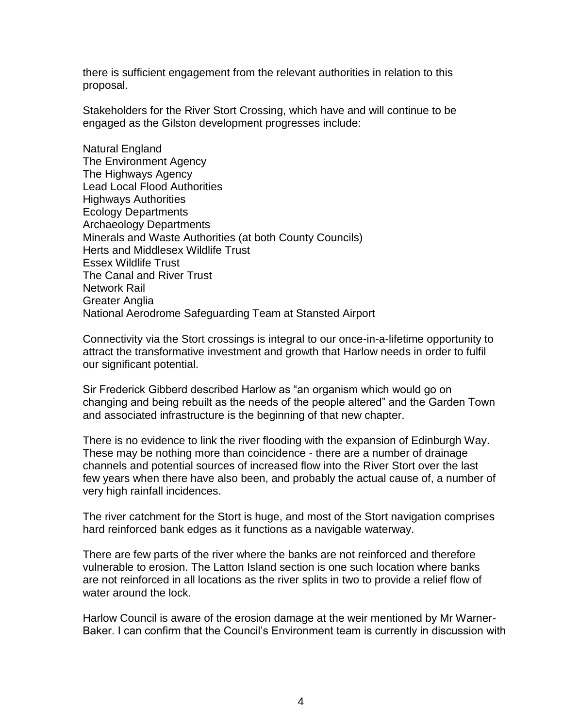there is sufficient engagement from the relevant authorities in relation to this proposal.

Stakeholders for the River Stort Crossing, which have and will continue to be engaged as the Gilston development progresses include:

Natural England The Environment Agency The Highways Agency Lead Local Flood Authorities Highways Authorities Ecology Departments Archaeology Departments Minerals and Waste Authorities (at both County Councils) Herts and Middlesex Wildlife Trust Essex Wildlife Trust The Canal and River Trust Network Rail Greater Anglia National Aerodrome Safeguarding Team at Stansted Airport

Connectivity via the Stort crossings is integral to our once-in-a-lifetime opportunity to attract the transformative investment and growth that Harlow needs in order to fulfil our significant potential.

Sir Frederick Gibberd described Harlow as "an organism which would go on changing and being rebuilt as the needs of the people altered" and the Garden Town and associated infrastructure is the beginning of that new chapter.

There is no evidence to link the river flooding with the expansion of Edinburgh Way. These may be nothing more than coincidence - there are a number of drainage channels and potential sources of increased flow into the River Stort over the last few years when there have also been, and probably the actual cause of, a number of very high rainfall incidences.

The river catchment for the Stort is huge, and most of the Stort navigation comprises hard reinforced bank edges as it functions as a navigable waterway.

There are few parts of the river where the banks are not reinforced and therefore vulnerable to erosion. The Latton Island section is one such location where banks are not reinforced in all locations as the river splits in two to provide a relief flow of water around the lock.

Harlow Council is aware of the erosion damage at the weir mentioned by Mr Warner-Baker. I can confirm that the Council's Environment team is currently in discussion with